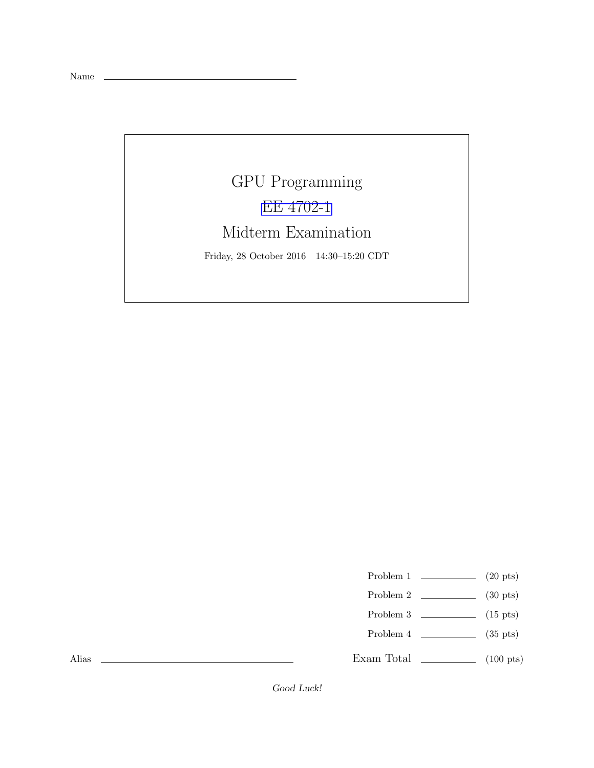Name

## GPU Programming [EE 4702-1](http://www.ece.lsu.edu/koppel/gpup/) Midterm Examination Friday, 28 October 2016 14:30–15:20 CDT

- Problem 1  $\qquad \qquad$  (20 pts)
- Problem 2  $\qquad \qquad$  (30 pts)
- Problem 3  $\qquad \qquad$  (15 pts)
- Problem 4  $\sim$  (35 pts)
- Exam Total \_\_\_\_\_\_\_\_\_\_\_\_\_ (100 pts)

Alias

Good Luck!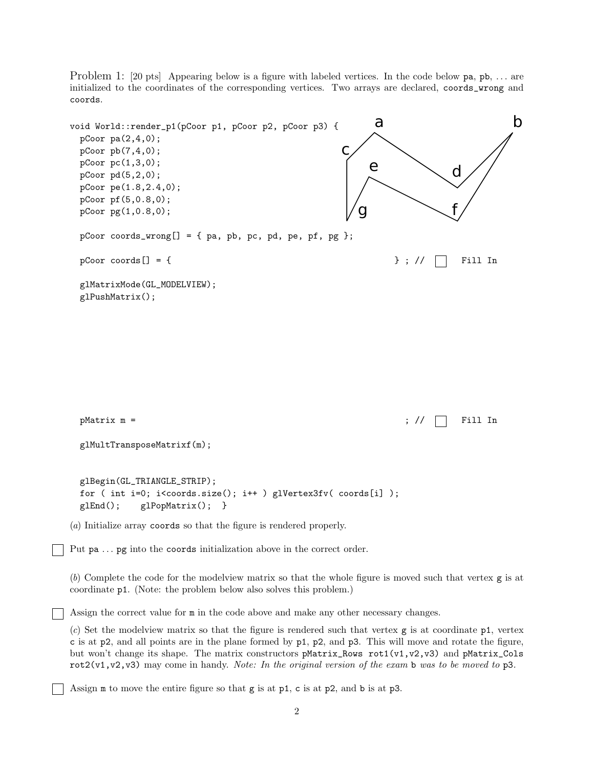Problem 1: [20 pts] Appearing below is a figure with labeled vertices. In the code below pa, pb, ... are initialized to the coordinates of the corresponding vertices. Two arrays are declared, coords\_wrong and coords.



Assign the correct value for m in the code above and make any other necessary changes.

(*c*) Set the modelview matrix so that the figure is rendered such that vertex g is at coordinate p1, vertex c is at p2, and all points are in the plane formed by p1, p2, and p3. This will move and rotate the figure, but won't change its shape. The matrix constructors pMatrix\_Rows rot1(v1,v2,v3) and pMatrix\_Cols rot2(v1,v2,v3) may come in handy. *Note: In the original version of the exam* b *was to be moved to* p3*.*

Assign m to move the entire figure so that g is at p1, c is at p2, and b is at p3.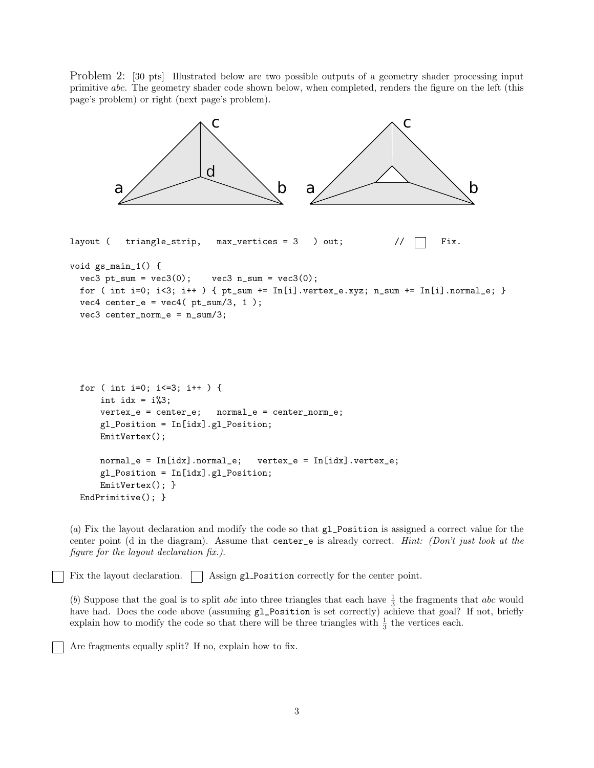Problem 2: [30 pts] Illustrated below are two possible outputs of a geometry shader processing input primitive abc. The geometry shader code shown below, when completed, renders the figure on the left (this page's problem) or right (next page's problem).



(*a*) Fix the layout declaration and modify the code so that gl\_Position is assigned a correct value for the center point (d in the diagram). Assume that center\_e is already correct. *Hint: (Don't just look at the figure for the layout declaration fix.)*.

Fix the layout declaration.  $\Box$  Assign gl Position correctly for the center point.

(b) Suppose that the goal is to split *abc* into three triangles that each have  $\frac{1}{3}$  the fragments that *abc* would have had. Does the code above (assuming  $g_1$ -Position is set correctly) achieve that goal? If not, briefly explain how to modify the code so that there will be three triangles with  $\frac{1}{3}$  the vertices each.

Are fragments equally split? If no, explain how to fix.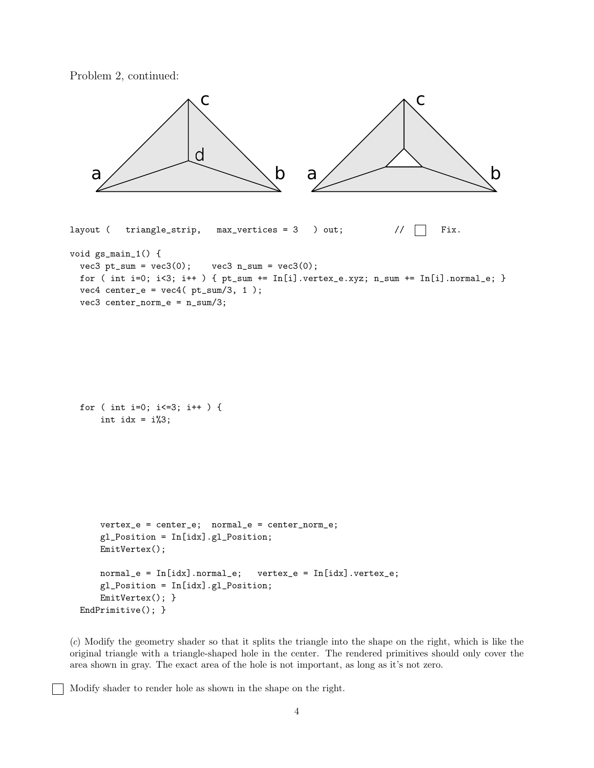Problem 2, continued:



(*c*) Modify the geometry shader so that it splits the triangle into the shape on the right, which is like the original triangle with a triangle-shaped hole in the center. The rendered primitives should only cover the area shown in gray. The exact area of the hole is not important, as long as it's not zero.

Modify shader to render hole as shown in the shape on the right.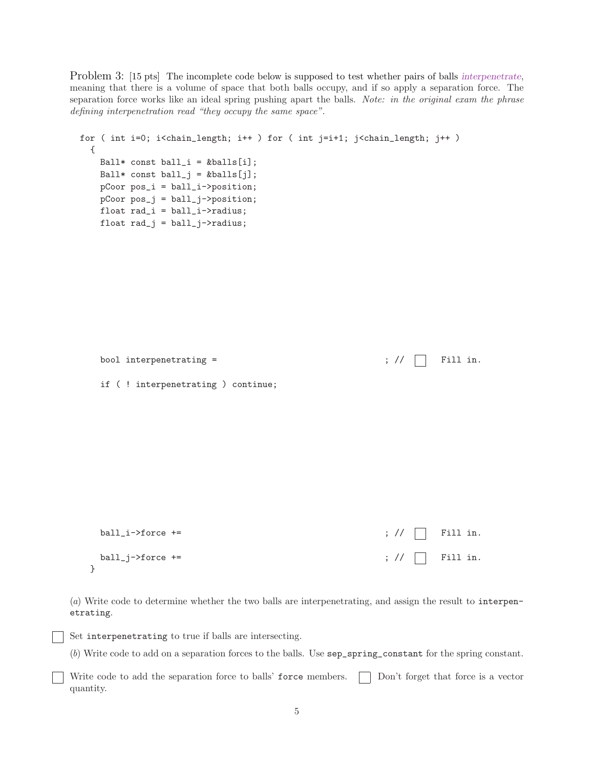Problem 3: [15 pts] The incomplete code below is supposed to test whether pairs of balls interpenetrate, meaning that there is a volume of space that both balls occupy, and if so apply a separation force. The separation force works like an ideal spring pushing apart the balls. *Note: in the original exam the phrase defining interpenetration read "they occupy the same space".*

```
for ( int i=0; i<chain_length; i++ ) for ( int j=i+1; j<chain_length; j++ )
 {
    Ball* const ball_i = kballs[i];
    Ball* const ball_j = kballs[j];
    pCoor pos_i = ball_i->position;
    pCoor pos_i = ball_i \rightarrow position;float rad_i = ball_i->radius;
    float rad_j = ball_j->radius;
```

```
if ( ! interpenetrating ) continue;
ball_i->force += \qquad \qquad ; \; // \quad \text{Fill in.}ball_j->force += ; // \Box Fill in.
```
bool interpenetrating =  $\qquad \qquad ; \text{ // } \Box$  Fill in.

}

(*a*) Write code to determine whether the two balls are interpenetrating, and assign the result to interpenetrating.

Set interpenetrating to true if balls are intersecting.

(*b*) Write code to add on a separation forces to the balls. Use sep\_spring\_constant for the spring constant.

Write code to add the separation force to balls' force members.  $\Box$  Don't forget that force is a vector quantity.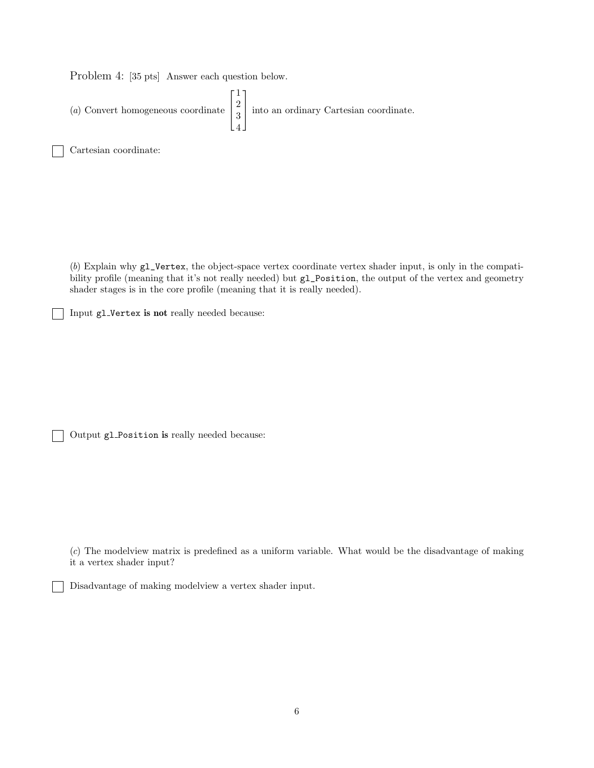Problem 4: [35 pts] Answer each question below.

(*a*) Convert homogeneous coordinate  $\sqrt{ }$  $\overline{\phantom{a}}$ 1 2 3 4 1 into an ordinary Cartesian coordinate.

Cartesian coordinate:

(*b*) Explain why gl\_Vertex, the object-space vertex coordinate vertex shader input, is only in the compatibility profile (meaning that it's not really needed) but gl\_Position, the output of the vertex and geometry shader stages is in the core profile (meaning that it is really needed).

Input gl Vertex is not really needed because:

Output gl Position is really needed because:

(*c*) The modelview matrix is predefined as a uniform variable. What would be the disadvantage of making it a vertex shader input?

Disadvantage of making modelview a vertex shader input.